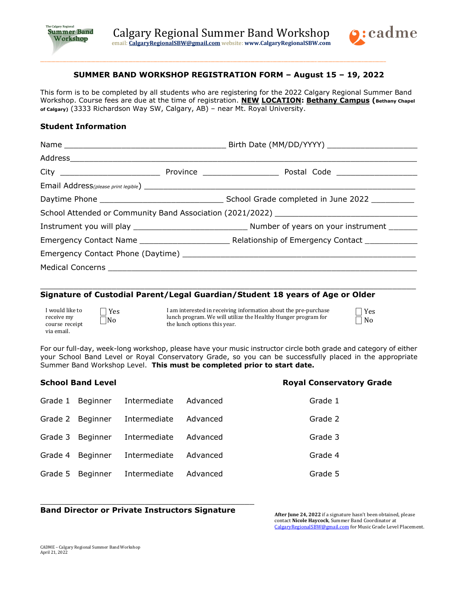

\_\_\_\_\_\_\_\_\_\_\_\_\_\_\_\_\_\_\_\_\_\_\_\_\_\_\_\_\_\_\_\_\_\_\_\_\_\_\_\_\_\_\_\_\_\_\_\_\_\_\_\_\_\_\_\_\_\_\_\_\_\_\_\_\_\_\_\_\_\_\_\_\_\_\_\_\_\_\_\_\_\_\_\_\_\_\_\_\_\_\_\_\_\_\_\_\_\_\_\_\_\_\_\_\_\_\_\_\_\_\_\_\_\_\_\_\_\_\_\_\_\_\_\_\_\_\_\_\_\_\_\_\_\_\_\_\_\_\_\_\_\_\_\_\_\_\_\_\_\_\_\_\_\_\_\_



# **SUMMER BAND WORKSHOP REGISTRATION FORM – August 15 – 19, 2022**

This form is to be completed by all students who are registering for the 2022 Calgary Regional Summer Band Workshop. Course fees are due at the time of registration. **NEW LOCATION: Bethany Campus (Bethany Chapel of Calgary)** (3333 Richardson Way SW, Calgary, AB) – near Mt. Royal University.

#### **Student Information**

|  |  | School Attended or Community Band Association (2021/2022) _______________________ |  |  |
|--|--|-----------------------------------------------------------------------------------|--|--|
|  |  |                                                                                   |  |  |
|  |  |                                                                                   |  |  |
|  |  |                                                                                   |  |  |
|  |  |                                                                                   |  |  |

 $\_$  , and the set of the set of the set of the set of the set of the set of the set of the set of the set of the set of the set of the set of the set of the set of the set of the set of the set of the set of the set of th

### **Signature of Custodial Parent/Legal Guardian/Student 18 years of Age or Older**

| I would like to |  |  |  |
|-----------------|--|--|--|
| receive my      |  |  |  |
| course receipt  |  |  |  |
| via email.      |  |  |  |

⎕ Yes  $\Box$ No

I am interested in receiving information about the pre-purchase lunch program. We will utilize the Healthy Hunger program for the lunch options this year.

For our full-day, week-long workshop, please have your music instructor circle both grade and category of either your School Band Level or Royal Conservatory Grade, so you can be successfully placed in the appropriate Summer Band Workshop Level. **This must be completed prior to start date.**

| <b>School Band Level</b> |                  |              | <b>Royal Conservatory Grade</b> |         |
|--------------------------|------------------|--------------|---------------------------------|---------|
|                          | Grade 1 Beginner | Intermediate | Advanced                        | Grade 1 |
|                          | Grade 2 Beginner | Intermediate | Advanced                        | Grade 2 |
|                          | Grade 3 Beginner | Intermediate | Advanced                        | Grade 3 |
| Grade 4                  | Beginner         | Intermediate | Advanced                        | Grade 4 |
| Grade 5                  | Beginner         | Intermediate | Advanced                        | Grade 5 |

## **Band Director or Private Instructors Signature**

\_\_\_\_\_\_\_\_\_\_\_\_\_\_\_\_\_\_\_\_\_\_\_\_\_\_\_\_\_\_\_\_\_\_\_\_\_\_\_\_\_\_\_\_\_